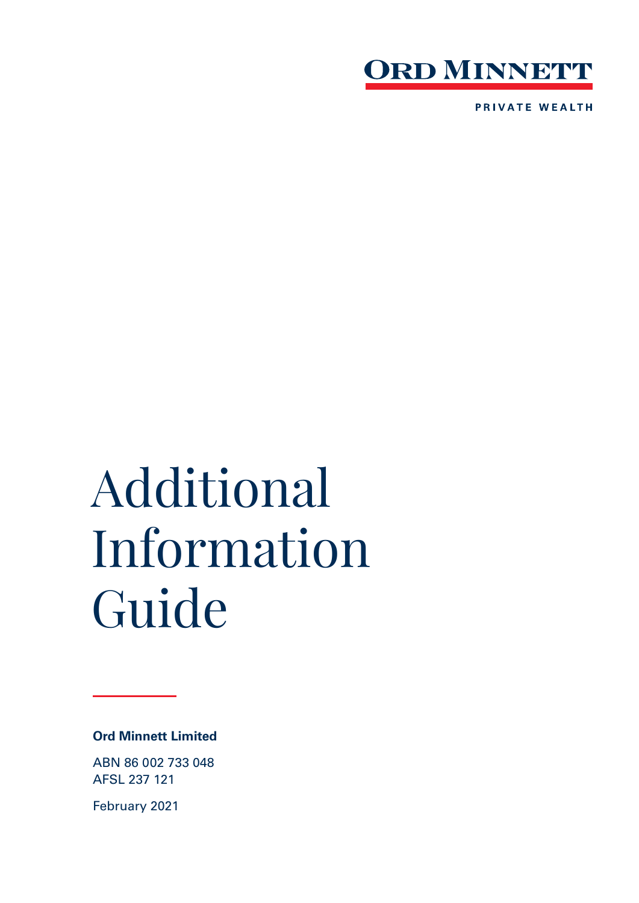

**PRIVATE WEALTH** 

# Additional Information Guide

# **Ord Minnett Limited**

ABN 86 002 733 048 AFSL 237 121

February 2021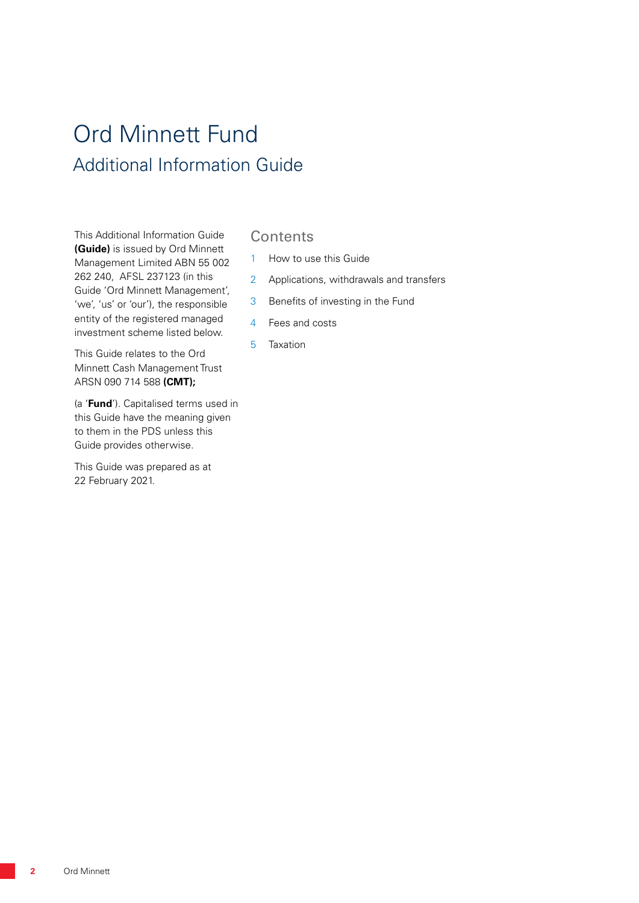# Ord Minnett Fund Additional Information Guide

This Additional Information Guide **(Guide)** is issued by Ord Minnett Management Limited ABN 55 002 262 240, AFSL 237123 (in this Guide 'Ord Minnett Management', 'we', 'us' or 'our'), the responsible entity of the registered managed investment scheme listed below.

This Guide relates to the Ord Minnett Cash Management Trust ARSN 090 714 588 **(CMT);**

(a '**Fund**'). Capitalised terms used in this Guide have the meaning given to them in the PDS unless this Guide provides otherwise.

This Guide was prepared as at 22 February 2021.

# **Contents**

- 1 How to use this Guide
- 2 Applications, withdrawals and transfers
- 3 Benefits of investing in the Fund
- 4 Fees and costs
- 5 Taxation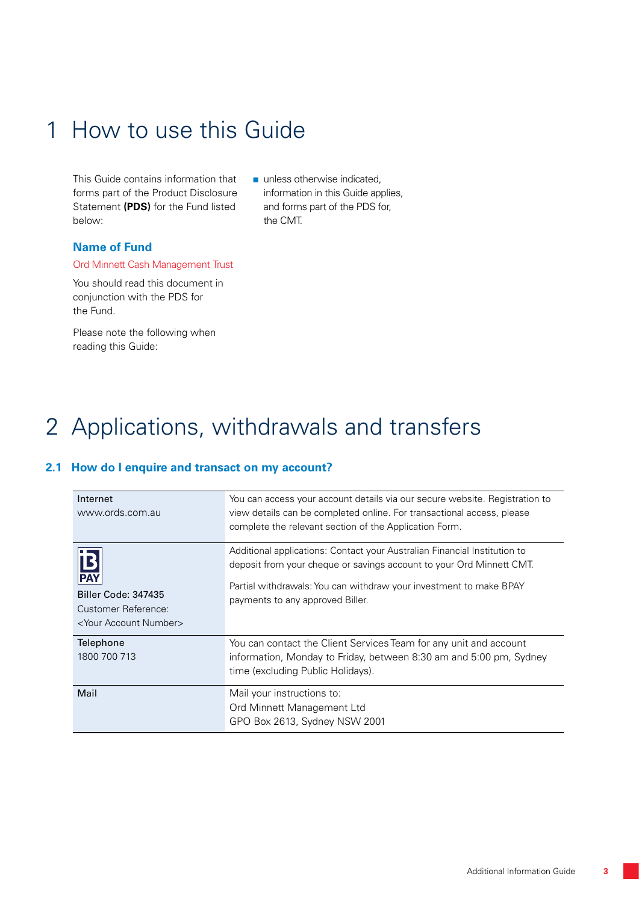# 1 How to use this Guide

This Guide contains information that forms part of the Product Disclosure Statement **(PDS)** for the Fund listed below:

unless otherwise indicated, information in this Guide applies, and forms part of the PDS for, the CMT.

### **Name of Fund**

#### Ord Minnett Cash Management Trust

You should read this document in conjunction with the PDS for the Fund.

Please note the following when reading this Guide:

# 2 Applications, withdrawals and transfers

# **2.1 How do I enquire and transact on my account?**

| Internet<br>www.ords.com.au                                                                                   | You can access your account details via our secure website. Registration to<br>view details can be completed online. For transactional access, please<br>complete the relevant section of the Application Form.                                             |
|---------------------------------------------------------------------------------------------------------------|-------------------------------------------------------------------------------------------------------------------------------------------------------------------------------------------------------------------------------------------------------------|
| $\mathbf B$<br><b>PAY</b><br>Biller Code: 347435<br>Customer Reference:<br><your account="" number=""></your> | Additional applications: Contact your Australian Financial Institution to<br>deposit from your cheque or savings account to your Ord Minnett CMT.<br>Partial withdrawals: You can withdraw your investment to make BPAY<br>payments to any approved Biller. |
| Telephone<br>1800 700 713                                                                                     | You can contact the Client Services Team for any unit and account<br>information, Monday to Friday, between 8:30 am and 5:00 pm, Sydney<br>time (excluding Public Holidays).                                                                                |
| Mail                                                                                                          | Mail your instructions to:<br>Ord Minnett Management Ltd<br>GPO Box 2613, Sydney NSW 2001                                                                                                                                                                   |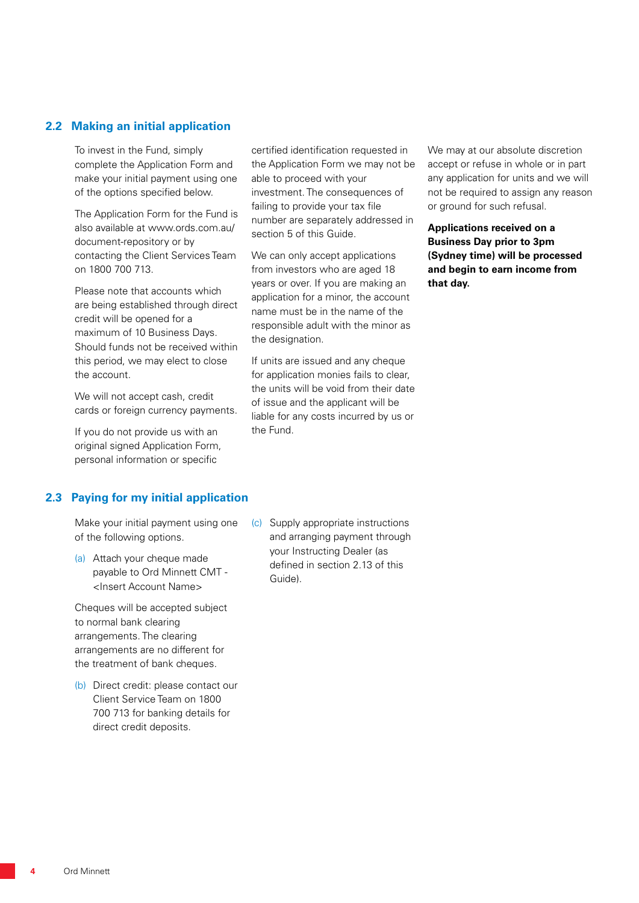#### **2.2 Making an initial application**

To invest in the Fund, simply complete the Application Form and make your initial payment using one of the options specified below.

The Application Form for the Fund is also available at www.ords.com.au/ document-repository or by contacting the Client Services Team on 1800 700 713.

Please note that accounts which are being established through direct credit will be opened for a maximum of 10 Business Days. Should funds not be received within this period, we may elect to close the account.

We will not accept cash, credit cards or foreign currency payments.

If you do not provide us with an original signed Application Form, personal information or specific

# **2.3 Paying for my initial application**

Make your initial payment using one of the following options.

(a) Attach your cheque made payable to Ord Minnett CMT - <Insert Account Name>

Cheques will be accepted subject to normal bank clearing arrangements. The clearing arrangements are no different for the treatment of bank cheques.

(b) Direct credit: please contact our Client Service Team on 1800 700 713 for banking details for direct credit deposits.

certified identification requested in the Application Form we may not be able to proceed with your investment. The consequences of failing to provide your tax file number are separately addressed in section 5 of this Guide.

We can only accept applications from investors who are aged 18 years or over. If you are making an application for a minor, the account name must be in the name of the responsible adult with the minor as the designation.

If units are issued and any cheque for application monies fails to clear, the units will be void from their date of issue and the applicant will be liable for any costs incurred by us or the Fund.

We may at our absolute discretion accept or refuse in whole or in part any application for units and we will not be required to assign any reason or ground for such refusal.

**Applications received on a Business Day prior to 3pm (Sydney time) will be processed and begin to earn income from that day.**

(c) Supply appropriate instructions and arranging payment through your Instructing Dealer (as defined in section 2.13 of this Guide).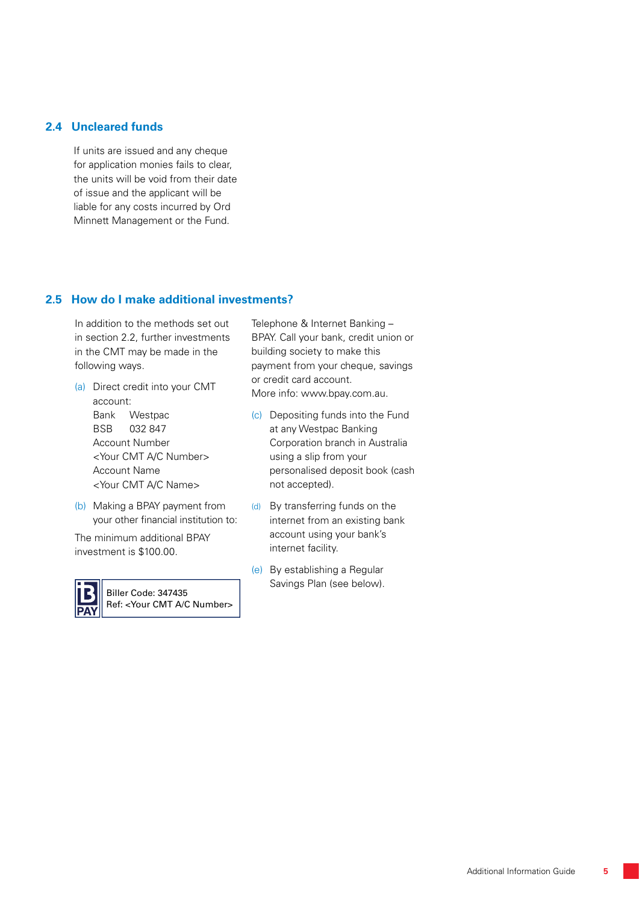#### **2.4 Uncleared funds**

If units are issued and any cheque for application monies fails to clear, the units will be void from their date of issue and the applicant will be liable for any costs incurred by Ord Minnett Management or the Fund.

### **2.5 How do I make additional investments?**

In addition to the methods set out in section 2.2, further investments in the CMT may be made in the following ways.

- (a) Direct credit into your CMT account: Bank Westpac BSB 032 847 Account Number <Your CMT A/C Number> Account Name <Your CMT A/C Name>
- (b) Making a BPAY payment from your other financial institution to:

The minimum additional BPAY investment is \$100.00.



Biller Code: 347435 Ref: <Your CMT A/C Number> Telephone & Internet Banking – BPAY. Call your bank, credit union or building society to make this payment from your cheque, savings or credit card account. More info: www.bpay.com.au.

- (c) Depositing funds into the Fund at any Westpac Banking Corporation branch in Australia using a slip from your personalised deposit book (cash not accepted).
- (d) By transferring funds on the internet from an existing bank account using your bank's internet facility.
- (e) By establishing a Regular Savings Plan (see below).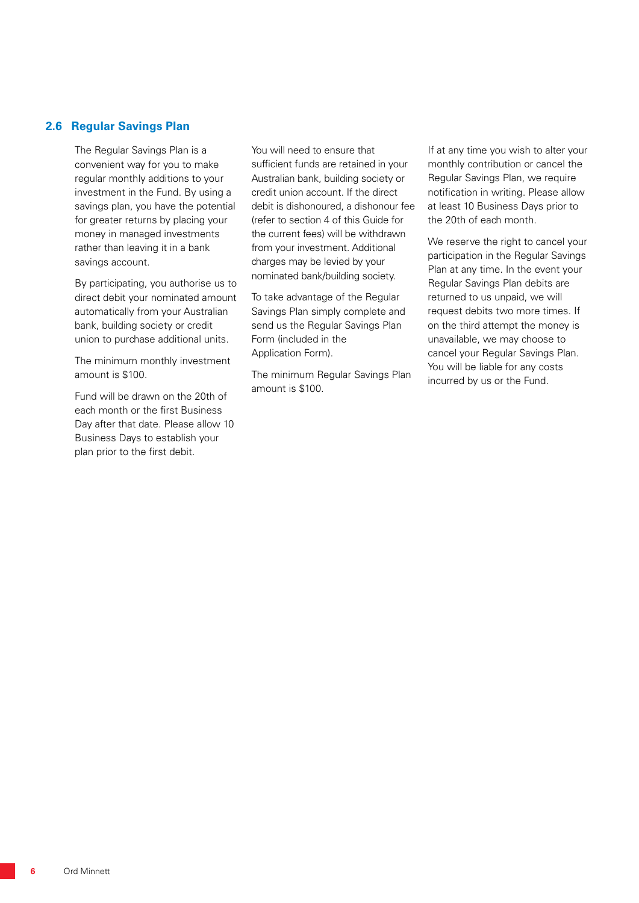#### **2.6 Regular Savings Plan**

The Regular Savings Plan is a convenient way for you to make regular monthly additions to your investment in the Fund. By using a savings plan, you have the potential for greater returns by placing your money in managed investments rather than leaving it in a bank savings account.

By participating, you authorise us to direct debit your nominated amount automatically from your Australian bank, building society or credit union to purchase additional units.

The minimum monthly investment amount is \$100.

Fund will be drawn on the 20th of each month or the first Business Day after that date. Please allow 10 Business Days to establish your plan prior to the first debit.

You will need to ensure that sufficient funds are retained in your Australian bank, building society or credit union account. If the direct debit is dishonoured, a dishonour fee (refer to section 4 of this Guide for the current fees) will be withdrawn from your investment. Additional charges may be levied by your nominated bank/building society.

To take advantage of the Regular Savings Plan simply complete and send us the Regular Savings Plan Form (included in the Application Form).

The minimum Regular Savings Plan amount is \$100.

If at any time you wish to alter your monthly contribution or cancel the Regular Savings Plan, we require notification in writing. Please allow at least 10 Business Days prior to the 20th of each month.

We reserve the right to cancel your participation in the Regular Savings Plan at any time. In the event your Regular Savings Plan debits are returned to us unpaid, we will request debits two more times. If on the third attempt the money is unavailable, we may choose to cancel your Regular Savings Plan. You will be liable for any costs incurred by us or the Fund.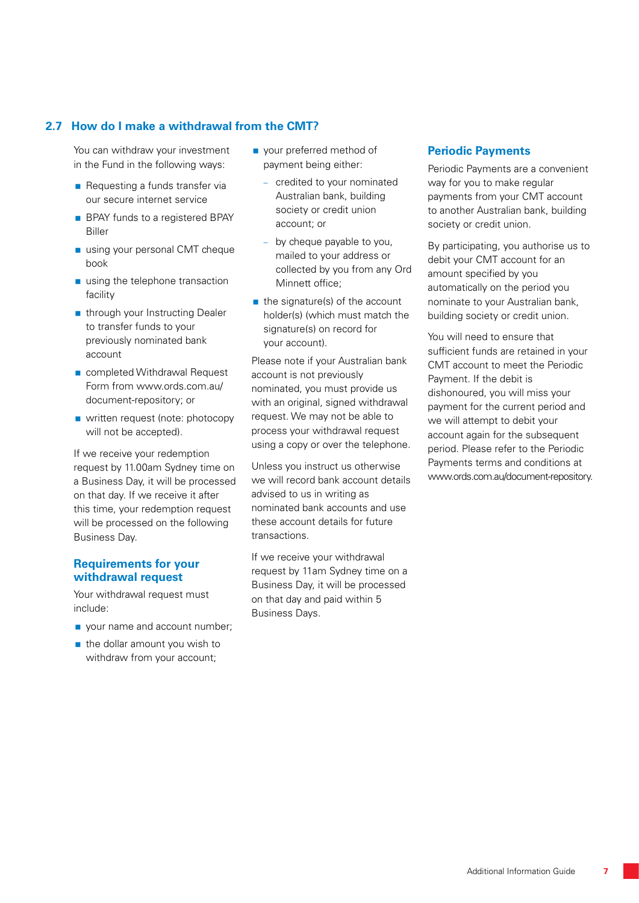# **2.7 How do I make a withdrawal from the CMT?**

You can withdraw your investment in the Fund in the following ways:

- Requesting a funds transfer via our secure internet service
- **BPAY** funds to a registered BPAY Biller
- using your personal CMT cheque book
- using the telephone transaction facility
- through your Instructing Dealer to transfer funds to your previously nominated bank account
- completed Withdrawal Request Form from www.ords.com.au/ document-repository; or
- written request (note: photocopy will not be accepted).

If we receive your redemption request by 11.00am Sydney time on a Business Day, it will be processed on that day. If we receive it after this time, your redemption request will be processed on the following Business Day.

# **Requirements for your withdrawal request**

Your withdrawal request must include:

- vour name and account number;
- $\blacksquare$  the dollar amount you wish to withdraw from your account;
- vour preferred method of payment being either:
	- credited to your nominated Australian bank, building society or credit union account; or
	- by cheque payable to you, mailed to your address or collected by you from any Ord Minnett office;
- $\blacksquare$  the signature(s) of the account holder(s) (which must match the signature(s) on record for your account).

Please note if your Australian bank account is not previously nominated, you must provide us with an original, signed withdrawal request. We may not be able to process your withdrawal request using a copy or over the telephone.

Unless you instruct us otherwise we will record bank account details advised to us in writing as nominated bank accounts and use these account details for future transactions.

If we receive your withdrawal request by 11am Sydney time on a Business Day, it will be processed on that day and paid within 5 Business Days.

### **Periodic Payments**

Periodic Payments are a convenient way for you to make regular payments from your CMT account to another Australian bank, building society or credit union.

By participating, you authorise us to debit your CMT account for an amount specified by you automatically on the period you nominate to your Australian bank, building society or credit union.

You will need to ensure that sufficient funds are retained in your CMT account to meet the Periodic Payment. If the debit is dishonoured, you will miss your payment for the current period and we will attempt to debit your account again for the subsequent period. Please refer to the Periodic Payments terms and conditions at www.ords.com.au/document-repository.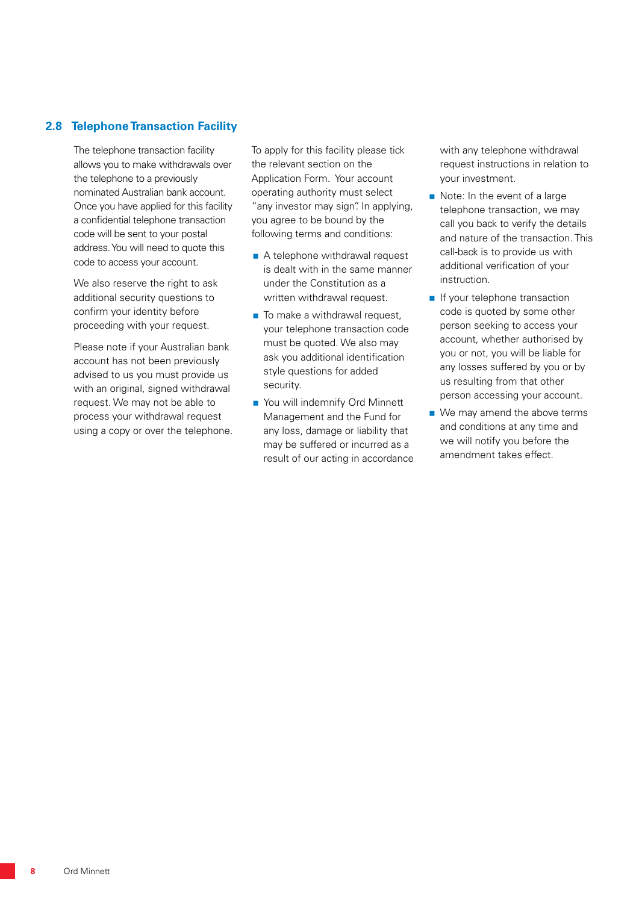# **2.8 Telephone Transaction Facility**

The telephone transaction facility allows you to make withdrawals over the telephone to a previously nominated Australian bank account. Once you have applied for this facility a confidential telephone transaction code will be sent to your postal address. You will need to quote this code to access your account.

We also reserve the right to ask additional security questions to confirm your identity before proceeding with your request.

Please note if your Australian bank account has not been previously advised to us you must provide us with an original, signed withdrawal request. We may not be able to process your withdrawal request using a copy or over the telephone. To apply for this facility please tick the relevant section on the Application Form. Your account operating authority must select "any investor may sign". In applying, you agree to be bound by the following terms and conditions:

- A telephone withdrawal request is dealt with in the same manner under the Constitution as a written withdrawal request.
- $\blacksquare$  To make a withdrawal request, your telephone transaction code must be quoted. We also may ask you additional identification style questions for added security.
- You will indemnify Ord Minnett Management and the Fund for any loss, damage or liability that may be suffered or incurred as a result of our acting in accordance

with any telephone withdrawal request instructions in relation to your investment.

- Note: In the event of a large telephone transaction, we may call you back to verify the details and nature of the transaction. This call-back is to provide us with additional verification of your instruction.
- If your telephone transaction code is quoted by some other person seeking to access your account, whether authorised by you or not, you will be liable for any losses suffered by you or by us resulting from that other person accessing your account.
- We may amend the above terms and conditions at any time and we will notify you before the amendment takes effect.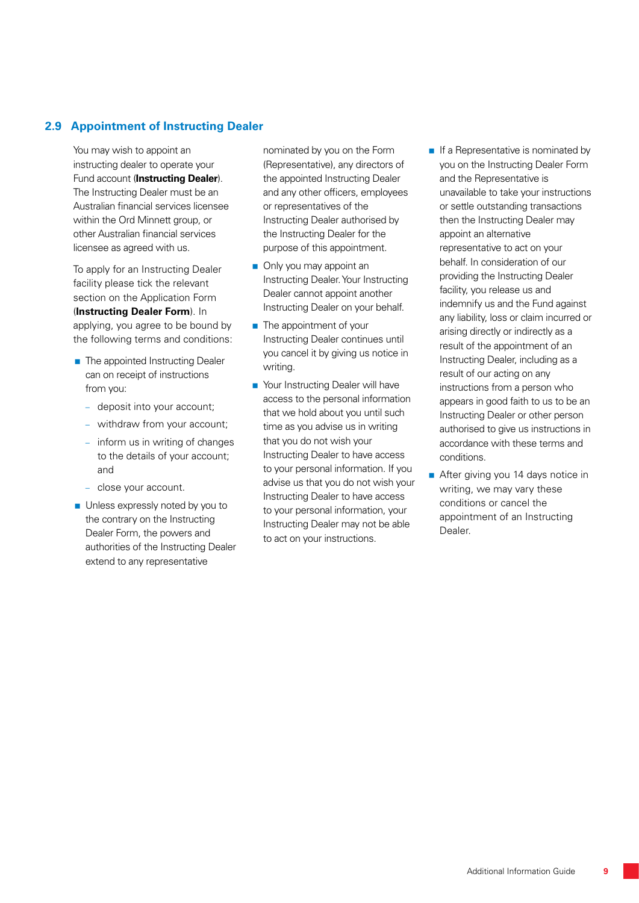# **2.9 Appointment of Instructing Dealer**

You may wish to appoint an instructing dealer to operate your Fund account (**Instructing Dealer**). The Instructing Dealer must be an Australian financial services licensee within the Ord Minnett group, or other Australian financial services licensee as agreed with us.

To apply for an Instructing Dealer facility please tick the relevant section on the Application Form (**Instructing Dealer Form**). In applying, you agree to be bound by the following terms and conditions:

- The appointed Instructing Dealer can on receipt of instructions from you:
	- deposit into your account;
	- withdraw from your account;
	- inform us in writing of changes to the details of your account; and
	- close your account.
- **Unless expressly noted by you to** the contrary on the Instructing Dealer Form, the powers and authorities of the Instructing Dealer extend to any representative

nominated by you on the Form (Representative), any directors of the appointed Instructing Dealer and any other officers, employees or representatives of the Instructing Dealer authorised by the Instructing Dealer for the purpose of this appointment.

- Only you may appoint an Instructing Dealer. Your Instructing Dealer cannot appoint another Instructing Dealer on your behalf.
- **The appointment of your** Instructing Dealer continues until you cancel it by giving us notice in writing.
- Your Instructing Dealer will have access to the personal information that we hold about you until such time as you advise us in writing that you do not wish your Instructing Dealer to have access to your personal information. If you advise us that you do not wish your Instructing Dealer to have access to your personal information, your Instructing Dealer may not be able to act on your instructions.
- $\blacksquare$  If a Representative is nominated by you on the Instructing Dealer Form and the Representative is unavailable to take your instructions or settle outstanding transactions then the Instructing Dealer may appoint an alternative representative to act on your behalf. In consideration of our providing the Instructing Dealer facility, you release us and indemnify us and the Fund against any liability, loss or claim incurred or arising directly or indirectly as a result of the appointment of an Instructing Dealer, including as a result of our acting on any instructions from a person who appears in good faith to us to be an Instructing Dealer or other person authorised to give us instructions in accordance with these terms and conditions.
- After giving you 14 days notice in writing, we may vary these conditions or cancel the appointment of an Instructing Dealer.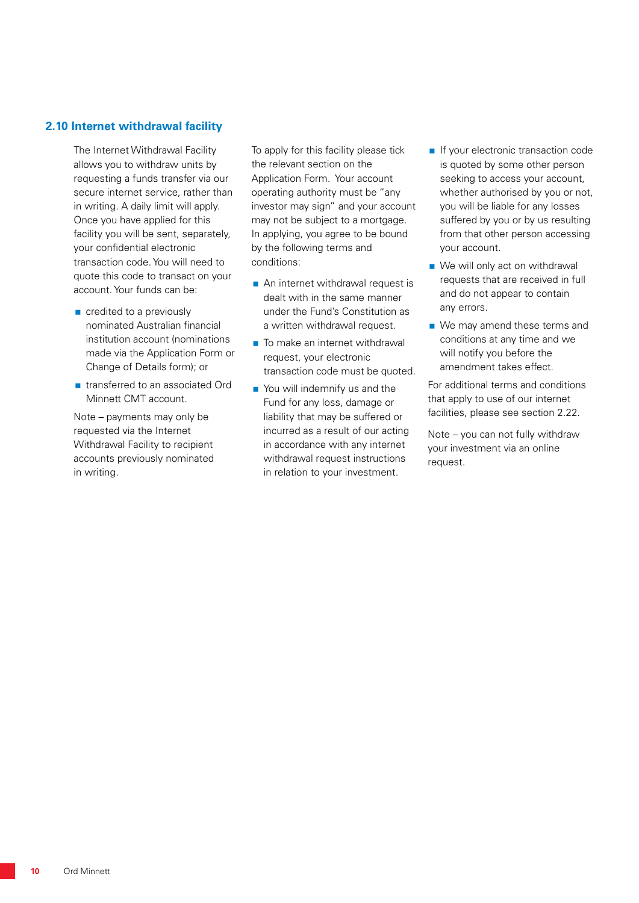#### **2.10 Internet withdrawal facility**

The Internet Withdrawal Facility allows you to withdraw units by requesting a funds transfer via our secure internet service, rather than in writing. A daily limit will apply. Once you have applied for this facility you will be sent, separately, your confidential electronic transaction code. You will need to quote this code to transact on your account. Your funds can be:

- credited to a previously nominated Australian financial institution account (nominations made via the Application Form or Change of Details form); or
- **n** transferred to an associated Ord Minnett CMT account.

Note – payments may only be requested via the Internet Withdrawal Facility to recipient accounts previously nominated in writing.

To apply for this facility please tick the relevant section on the Application Form. Your account operating authority must be "any investor may sign" and your account may not be subject to a mortgage. In applying, you agree to be bound by the following terms and conditions:

- An internet withdrawal request is dealt with in the same manner under the Fund's Constitution as a written withdrawal request.
- To make an internet withdrawal request, your electronic transaction code must be quoted.
- You will indemnify us and the Fund for any loss, damage or liability that may be suffered or incurred as a result of our acting in accordance with any internet withdrawal request instructions in relation to your investment.
- If your electronic transaction code is quoted by some other person seeking to access your account, whether authorised by you or not, you will be liable for any losses suffered by you or by us resulting from that other person accessing your account.
- We will only act on withdrawal requests that are received in full and do not appear to contain any errors.
- We may amend these terms and conditions at any time and we will notify you before the amendment takes effect.

For additional terms and conditions that apply to use of our internet facilities, please see section 2.22.

Note – you can not fully withdraw your investment via an online request.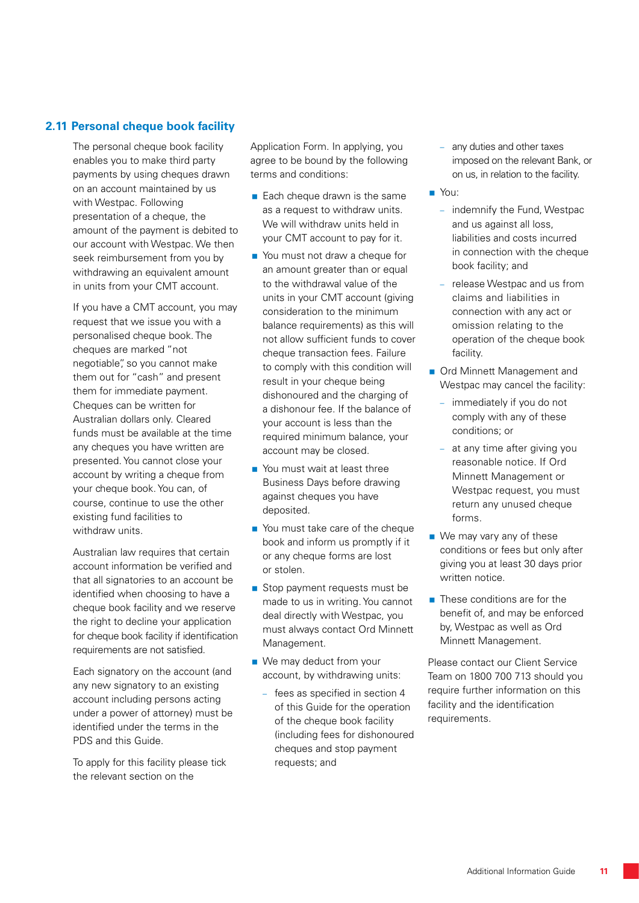# **2.11 Personal cheque book facility**

The personal cheque book facility enables you to make third party payments by using cheques drawn on an account maintained by us with Westpac. Following presentation of a cheque, the amount of the payment is debited to our account with Westpac. We then seek reimbursement from you by withdrawing an equivalent amount in units from your CMT account.

If you have a CMT account, you may request that we issue you with a personalised cheque book. The cheques are marked "not negotiable", so you cannot make them out for "cash" and present them for immediate payment. Cheques can be written for Australian dollars only. Cleared funds must be available at the time any cheques you have written are presented. You cannot close your account by writing a cheque from your cheque book. You can, of course, continue to use the other existing fund facilities to withdraw units.

Australian law requires that certain account information be verified and that all signatories to an account be identified when choosing to have a cheque book facility and we reserve the right to decline your application for cheque book facility if identification requirements are not satisfied.

Each signatory on the account (and any new signatory to an existing account including persons acting under a power of attorney) must be identified under the terms in the PDS and this Guide.

To apply for this facility please tick the relevant section on the

Application Form. In applying, you agree to be bound by the following terms and conditions:

- $\blacksquare$  Each cheque drawn is the same as a request to withdraw units. We will withdraw units held in your CMT account to pay for it.
- You must not draw a cheque for an amount greater than or equal to the withdrawal value of the units in your CMT account (giving consideration to the minimum balance requirements) as this will not allow sufficient funds to cover cheque transaction fees. Failure to comply with this condition will result in your cheque being dishonoured and the charging of a dishonour fee. If the balance of your account is less than the required minimum balance, your account may be closed.
- You must wait at least three Business Days before drawing against cheques you have deposited.
- You must take care of the cheque book and inform us promptly if it or any cheque forms are lost or stolen.
- Stop payment requests must be made to us in writing. You cannot deal directly with Westpac, you must always contact Ord Minnett Management.
- We may deduct from your account, by withdrawing units:
	- fees as specified in section 4 of this Guide for the operation of the cheque book facility (including fees for dishonoured cheques and stop payment requests; and
- any duties and other taxes imposed on the relevant Bank, or on us, in relation to the facility.
- You:
	- indemnify the Fund, Westpac and us against all loss, liabilities and costs incurred in connection with the cheque book facility; and
	- release Westpac and us from claims and liabilities in connection with any act or omission relating to the operation of the cheque book facility.
- **Ord Minnett Management and** Westpac may cancel the facility:
	- immediately if you do not comply with any of these conditions; or
	- at any time after giving you reasonable notice. If Ord Minnett Management or Westpac request, you must return any unused cheque forms.
- We may vary any of these conditions or fees but only after giving you at least 30 days prior written notice.
- $\blacksquare$  These conditions are for the benefit of, and may be enforced by, Westpac as well as Ord Minnett Management.

Please contact our Client Service Team on 1800 700 713 should you require further information on this facility and the identification requirements.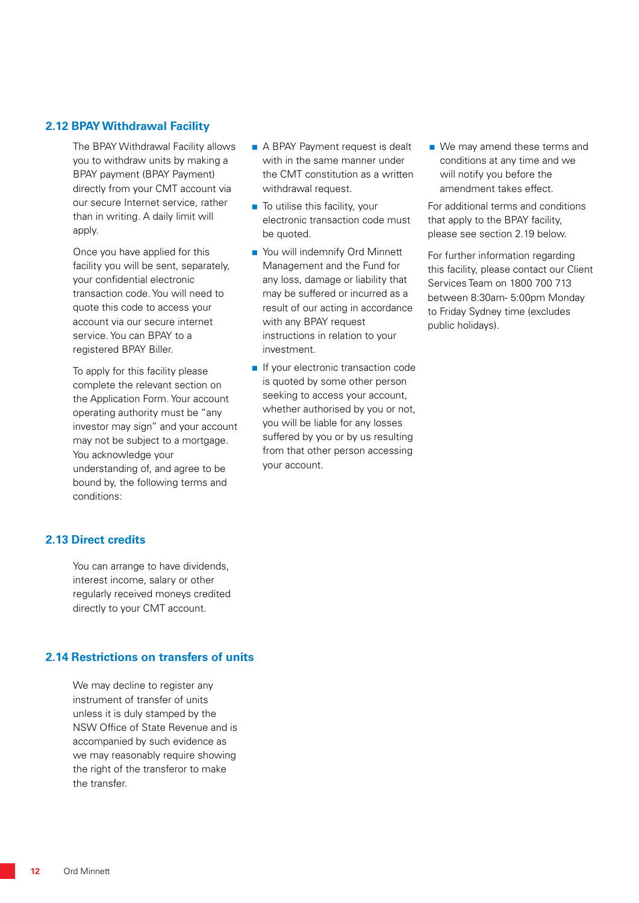#### **2.12 BPAY Withdrawal Facility**

The BPAY Withdrawal Facility allows you to withdraw units by making a BPAY payment (BPAY Payment) directly from your CMT account via our secure Internet service, rather than in writing. A daily limit will apply.

Once you have applied for this facility you will be sent, separately, your confidential electronic transaction code. You will need to quote this code to access your account via our secure internet service. You can BPAY to a registered BPAY Biller.

To apply for this facility please complete the relevant section on the Application Form. Your account operating authority must be "any investor may sign" and your account may not be subject to a mortgage. You acknowledge your understanding of, and agree to be bound by, the following terms and conditions:

- A BPAY Payment request is dealt with in the same manner under the CMT constitution as a written withdrawal request.
- To utilise this facility, your electronic transaction code must be quoted.
- You will indemnify Ord Minnett Management and the Fund for any loss, damage or liability that may be suffered or incurred as a result of our acting in accordance with any BPAY request instructions in relation to your investment.
- **If your electronic transaction code** is quoted by some other person seeking to access your account, whether authorised by you or not, you will be liable for any losses suffered by you or by us resulting from that other person accessing your account.

■ We may amend these terms and conditions at any time and we will notify you before the amendment takes effect.

For additional terms and conditions that apply to the BPAY facility, please see section 2.19 below.

For further information regarding this facility, please contact our Client Services Team on 1800 700 713 between 8:30am- 5:00pm Monday to Friday Sydney time (excludes public holidays).

# **2.13 Direct credits**

You can arrange to have dividends, interest income, salary or other regularly received moneys credited directly to your CMT account.

# **2.14 Restrictions on transfers of units**

We may decline to register any instrument of transfer of units unless it is duly stamped by the NSW Office of State Revenue and is accompanied by such evidence as we may reasonably require showing the right of the transferor to make the transfer.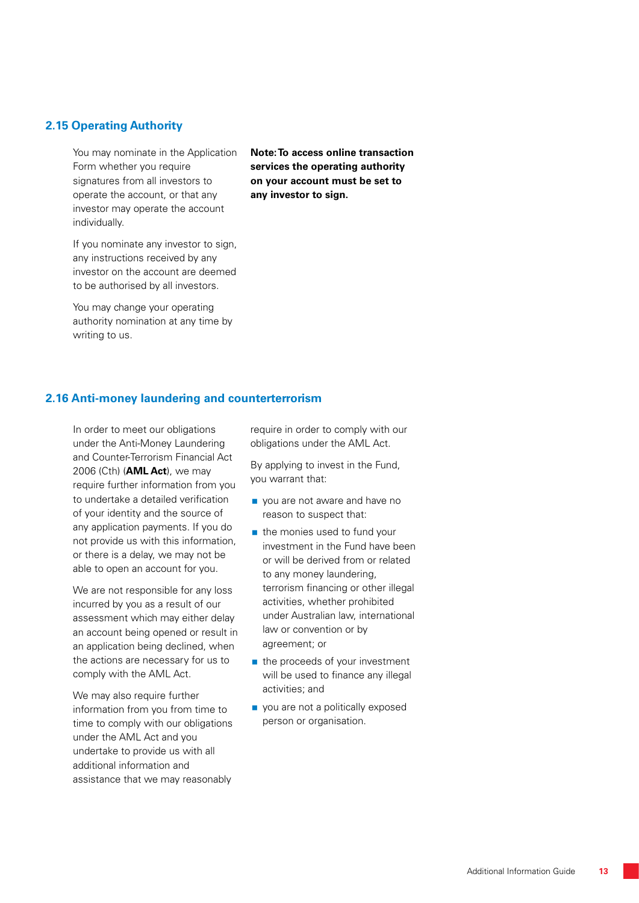#### **2.15 Operating Authority**

You may nominate in the Application Form whether you require signatures from all investors to operate the account, or that any investor may operate the account individually.

If you nominate any investor to sign, any instructions received by any investor on the account are deemed to be authorised by all investors.

You may change your operating authority nomination at any time by writing to us.

**Note: To access online transaction services the operating authority on your account must be set to any investor to sign.**

#### **2.16 Anti-money laundering and counterterrorism**

In order to meet our obligations under the Anti-Money Laundering and Counter-Terrorism Financial Act 2006 (Cth) (**AML Act**), we may require further information from you to undertake a detailed verification of your identity and the source of any application payments. If you do not provide us with this information, or there is a delay, we may not be able to open an account for you.

We are not responsible for any loss incurred by you as a result of our assessment which may either delay an account being opened or result in an application being declined, when the actions are necessary for us to comply with the AML Act.

We may also require further information from you from time to time to comply with our obligations under the AML Act and you undertake to provide us with all additional information and assistance that we may reasonably

require in order to comply with our obligations under the AML Act.

By applying to invest in the Fund, you warrant that:

- vou are not aware and have no reason to suspect that:
- $\blacksquare$  the monies used to fund your investment in the Fund have been or will be derived from or related to any money laundering, terrorism financing or other illegal activities, whether prohibited under Australian law, international law or convention or by agreement; or
- $\blacksquare$  the proceeds of your investment will be used to finance any illegal activities; and
- vou are not a politically exposed person or organisation.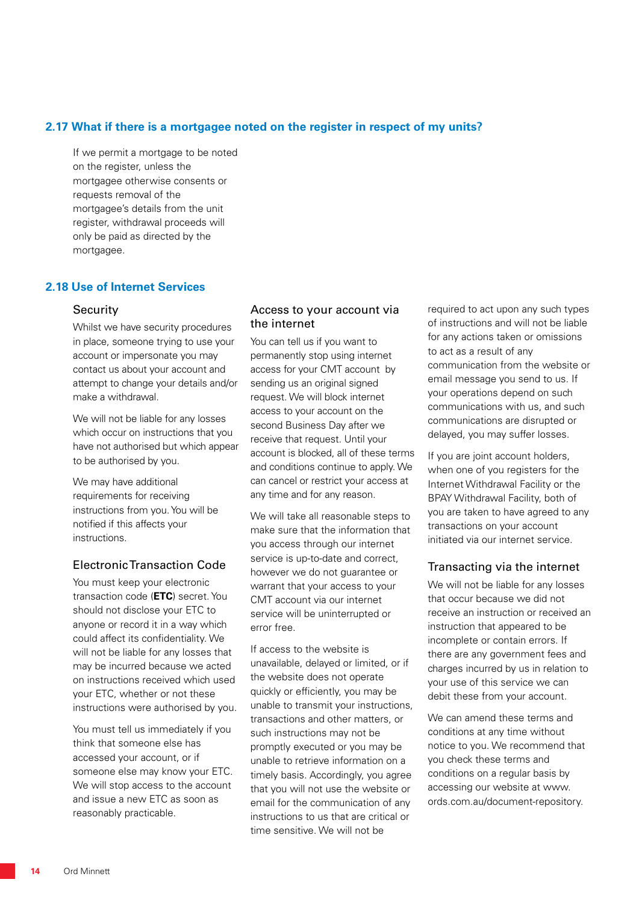#### **2.17 What if there is a mortgagee noted on the register in respect of my units?**

If we permit a mortgage to be noted on the register, unless the mortgagee otherwise consents or requests removal of the mortgagee's details from the unit register, withdrawal proceeds will only be paid as directed by the mortgagee.

#### **2.18 Use of Internet Services**

#### Security

Whilst we have security procedures in place, someone trying to use your account or impersonate you may contact us about your account and attempt to change your details and/or make a withdrawal.

We will not be liable for any losses which occur on instructions that you have not authorised but which appear to be authorised by you.

We may have additional requirements for receiving instructions from you. You will be notified if this affects your instructions.

#### Electronic Transaction Code

You must keep your electronic transaction code (**ETC**) secret. You should not disclose your ETC to anyone or record it in a way which could affect its confidentiality. We will not be liable for any losses that may be incurred because we acted on instructions received which used your ETC, whether or not these instructions were authorised by you.

You must tell us immediately if you think that someone else has accessed your account, or if someone else may know your ETC. We will stop access to the account and issue a new ETC as soon as reasonably practicable.

#### Access to your account via the internet

You can tell us if you want to permanently stop using internet access for your CMT account by sending us an original signed request. We will block internet access to your account on the second Business Day after we receive that request. Until your account is blocked, all of these terms and conditions continue to apply. We can cancel or restrict your access at any time and for any reason.

We will take all reasonable steps to make sure that the information that you access through our internet service is up-to-date and correct, however we do not guarantee or warrant that your access to your CMT account via our internet service will be uninterrupted or error free.

If access to the website is unavailable, delayed or limited, or if the website does not operate quickly or efficiently, you may be unable to transmit your instructions, transactions and other matters, or such instructions may not be promptly executed or you may be unable to retrieve information on a timely basis. Accordingly, you agree that you will not use the website or email for the communication of any instructions to us that are critical or time sensitive. We will not be

required to act upon any such types of instructions and will not be liable for any actions taken or omissions to act as a result of any communication from the website or email message you send to us. If your operations depend on such communications with us, and such communications are disrupted or delayed, you may suffer losses.

If you are joint account holders, when one of you registers for the Internet Withdrawal Facility or the BPAY Withdrawal Facility, both of you are taken to have agreed to any transactions on your account initiated via our internet service.

#### Transacting via the internet

We will not be liable for any losses that occur because we did not receive an instruction or received an instruction that appeared to be incomplete or contain errors. If there are any government fees and charges incurred by us in relation to your use of this service we can debit these from your account.

We can amend these terms and conditions at any time without notice to you. We recommend that you check these terms and conditions on a regular basis by accessing our website at www. ords.com.au/document-repository.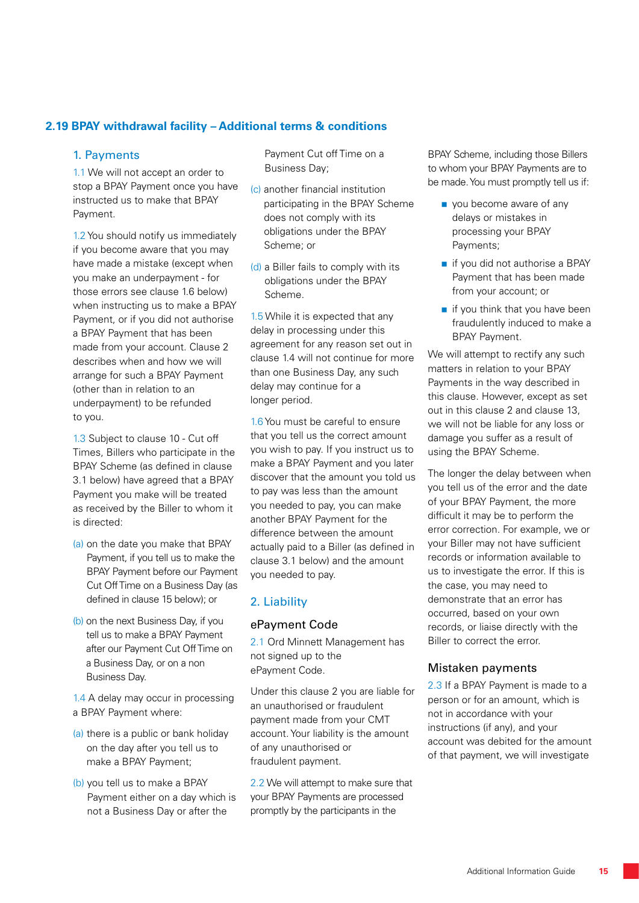# **2.19 BPAY withdrawal facility – Additional terms & conditions**

#### 1. Payments

1.1 We will not accept an order to stop a BPAY Payment once you have instructed us to make that BPAY Payment.

1.2 You should notify us immediately if you become aware that you may have made a mistake (except when you make an underpayment - for those errors see clause 1.6 below) when instructing us to make a BPAY Payment, or if you did not authorise a BPAY Payment that has been made from your account. Clause 2 describes when and how we will arrange for such a BPAY Payment (other than in relation to an underpayment) to be refunded to you.

1.3 Subject to clause 10 - Cut off Times, Billers who participate in the BPAY Scheme (as defined in clause 3.1 below) have agreed that a BPAY Payment you make will be treated as received by the Biller to whom it is directed:

- (a) on the date you make that BPAY Payment, if you tell us to make the BPAY Payment before our Payment Cut Off Time on a Business Day (as defined in clause 15 below); or
- (b) on the next Business Day, if you tell us to make a BPAY Payment after our Payment Cut Off Time on a Business Day, or on a non Business Day.

1.4 A delay may occur in processing a BPAY Payment where:

- (a) there is a public or bank holiday on the day after you tell us to make a BPAY Payment;
- (b) you tell us to make a BPAY Payment either on a day which is not a Business Day or after the

Payment Cut off Time on a Business Day;

- (c) another financial institution participating in the BPAY Scheme does not comply with its obligations under the BPAY Scheme; or
- (d) a Biller fails to comply with its obligations under the BPAY Scheme.

1.5 While it is expected that any delay in processing under this agreement for any reason set out in clause 1.4 will not continue for more than one Business Day, any such delay may continue for a longer period.

1.6 You must be careful to ensure that you tell us the correct amount you wish to pay. If you instruct us to make a BPAY Payment and you later discover that the amount you told us to pay was less than the amount you needed to pay, you can make another BPAY Payment for the difference between the amount actually paid to a Biller (as defined in clause 3.1 below) and the amount you needed to pay.

# 2. Liability

# ePayment Code

2.1 Ord Minnett Management has not signed up to the ePayment Code.

Under this clause 2 you are liable for an unauthorised or fraudulent payment made from your CMT account. Your liability is the amount of any unauthorised or fraudulent payment.

2.2 We will attempt to make sure that your BPAY Payments are processed promptly by the participants in the

BPAY Scheme, including those Billers to whom your BPAY Payments are to be made. You must promptly tell us if:

- vou become aware of any delays or mistakes in processing your BPAY Payments;
- if you did not authorise a BPAY Payment that has been made from your account; or
- $\blacksquare$  if you think that you have been fraudulently induced to make a BPAY Payment.

We will attempt to rectify any such matters in relation to your BPAY Payments in the way described in this clause. However, except as set out in this clause 2 and clause 13, we will not be liable for any loss or damage you suffer as a result of using the BPAY Scheme.

The longer the delay between when you tell us of the error and the date of your BPAY Payment, the more difficult it may be to perform the error correction. For example, we or your Biller may not have sufficient records or information available to us to investigate the error. If this is the case, you may need to demonstrate that an error has occurred, based on your own records, or liaise directly with the Biller to correct the error.

# Mistaken payments

2.3 If a BPAY Payment is made to a person or for an amount, which is not in accordance with your instructions (if any), and your account was debited for the amount of that payment, we will investigate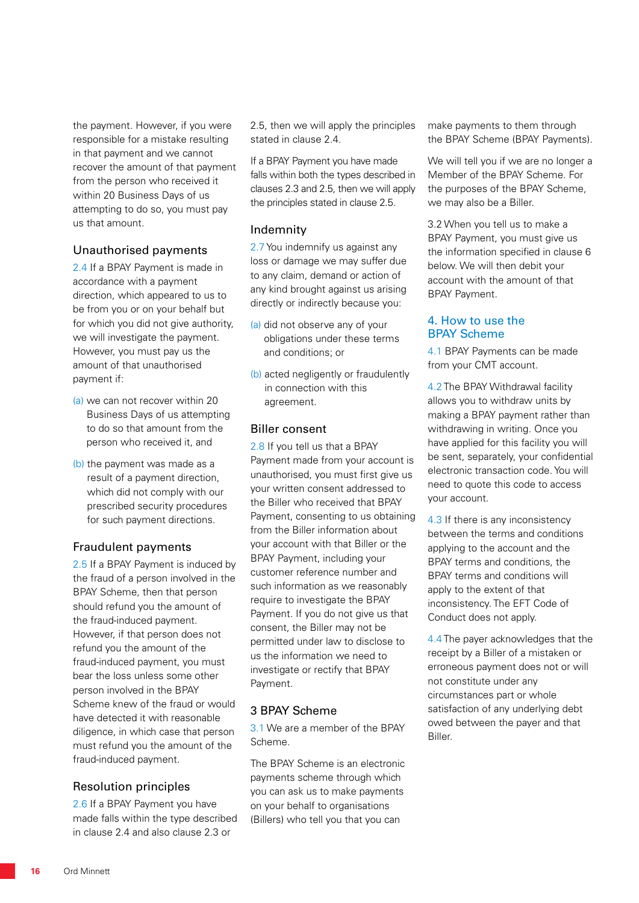the payment. However, if you were responsible for a mistake resulting in that payment and we cannot recover the amount of that payment from the person who received it within 20 Business Days of us attempting to do so, you must pay us that amount.

#### Unauthorised payments

2.4 If a BPAY Payment is made in accordance with a payment direction, which appeared to us to be from you or on your behalf but for which you did not give authority, we will investigate the payment. However, you must pay us the amount of that unauthorised payment if:

- (a) we can not recover within 20 Business Days of us attempting to do so that amount from the person who received it, and
- (b) the payment was made as a result of a payment direction, which did not comply with our prescribed security procedures for such payment directions.

#### Fraudulent payments

2.5 If a BPAY Payment is induced by the fraud of a person involved in the BPAY Scheme, then that person should refund you the amount of the fraud-induced payment. However, if that person does not refund you the amount of the fraud-induced payment, you must bear the loss unless some other person involved in the BPAY Scheme knew of the fraud or would have detected it with reasonable diligence, in which case that person must refund you the amount of the fraud-induced payment.

# Resolution principles

2.6 If a BPAY Payment you have made falls within the type described in clause 2.4 and also clause 2.3 or

2.5, then we will apply the principles stated in clause 2.4.

If a BPAY Payment you have made falls within both the types described in clauses 2.3 and 2.5, then we will apply the principles stated in clause 2.5.

# Indemnity

2.7 You indemnify us against any loss or damage we may suffer due to any claim, demand or action of any kind brought against us arising directly or indirectly because you:

- (a) did not observe any of your obligations under these terms and conditions; or
- (b) acted negligently or fraudulently in connection with this agreement.

# Biller consent

2.8 If you tell us that a BPAY Payment made from your account is unauthorised, you must first give us your written consent addressed to the Biller who received that BPAY Payment, consenting to us obtaining from the Biller information about your account with that Biller or the BPAY Payment, including your customer reference number and such information as we reasonably require to investigate the BPAY Payment. If you do not give us that consent, the Biller may not be permitted under law to disclose to us the information we need to investigate or rectify that BPAY Payment.

# 3 BPAY Scheme

3.1 We are a member of the BPAY Scheme.

The BPAY Scheme is an electronic payments scheme through which you can ask us to make payments on your behalf to organisations (Billers) who tell you that you can

make payments to them through the BPAY Scheme (BPAY Payments).

We will tell you if we are no longer a Member of the BPAY Scheme. For the purposes of the BPAY Scheme, we may also be a Biller.

3.2 When you tell us to make a BPAY Payment, you must give us the information specified in clause 6 below. We will then debit your account with the amount of that BPAY Payment.

#### 4. How to use the BPAY Scheme

4.1 BPAY Payments can be made from your CMT account.

4.2 The BPAY Withdrawal facility allows you to withdraw units by making a BPAY payment rather than withdrawing in writing. Once you have applied for this facility you will be sent, separately, your confidential electronic transaction code. You will need to quote this code to access your account.

4.3 If there is any inconsistency between the terms and conditions applying to the account and the BPAY terms and conditions, the BPAY terms and conditions will apply to the extent of that inconsistency. The EFT Code of Conduct does not apply.

4.4 The payer acknowledges that the receipt by a Biller of a mistaken or erroneous payment does not or will not constitute under any circumstances part or whole satisfaction of any underlying debt owed between the payer and that Biller.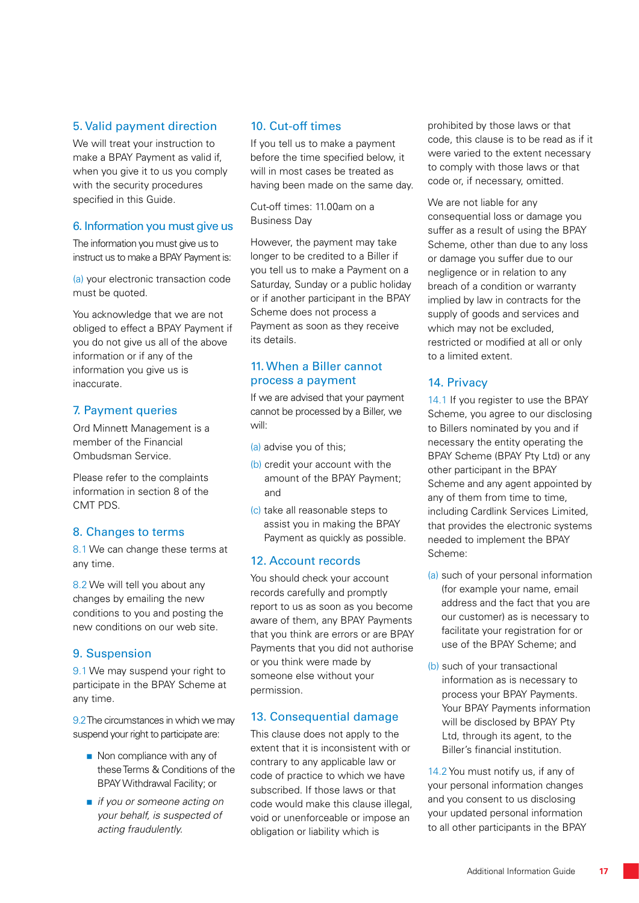# 5. Valid payment direction

We will treat your instruction to make a BPAY Payment as valid if, when you give it to us you comply with the security procedures specified in this Guide.

# 6. Information you must give us

The information you must give us to instruct us to make a BPAY Payment is:

(a) your electronic transaction code must be quoted.

You acknowledge that we are not obliged to effect a BPAY Payment if you do not give us all of the above information or if any of the information you give us is inaccurate.

# 7. Payment queries

Ord Minnett Management is a member of the Financial Ombudsman Service.

Please refer to the complaints information in section 8 of the CMT PDS.

# 8. Changes to terms

8.1 We can change these terms at any time.

8.2 We will tell you about any changes by emailing the new conditions to you and posting the new conditions on our web site.

# 9. Suspension

9.1 We may suspend your right to participate in the BPAY Scheme at any time.

9.2 The circumstances in which we may suspend your right to participate are:

- Non compliance with any of these Terms & Conditions of the BPAY Withdrawal Facility; or
- *if you or someone acting on your behalf, is suspected of acting fraudulently.*

# 10. Cut-off times

If you tell us to make a payment before the time specified below, it will in most cases be treated as having been made on the same day.

Cut-off times: 11.00am on a Business Day

However, the payment may take longer to be credited to a Biller if you tell us to make a Payment on a Saturday, Sunday or a public holiday or if another participant in the BPAY Scheme does not process a Payment as soon as they receive its details.

# 11. When a Biller cannot process a payment

If we are advised that your payment cannot be processed by a Biller, we will:

- (a) advise you of this;
- (b) credit your account with the amount of the BPAY Payment; and
- (c) take all reasonable steps to assist you in making the BPAY Payment as quickly as possible.

# 12. Account records

You should check your account records carefully and promptly report to us as soon as you become aware of them, any BPAY Payments that you think are errors or are BPAY Payments that you did not authorise or you think were made by someone else without your permission.

# 13. Consequential damage

This clause does not apply to the extent that it is inconsistent with or contrary to any applicable law or code of practice to which we have subscribed. If those laws or that code would make this clause illegal, void or unenforceable or impose an obligation or liability which is

prohibited by those laws or that code, this clause is to be read as if it were varied to the extent necessary to comply with those laws or that code or, if necessary, omitted.

We are not liable for any consequential loss or damage you suffer as a result of using the BPAY Scheme, other than due to any loss or damage you suffer due to our negligence or in relation to any breach of a condition or warranty implied by law in contracts for the supply of goods and services and which may not be excluded, restricted or modified at all or only to a limited extent.

# 14. Privacy

14.1 If you register to use the BPAY Scheme, you agree to our disclosing to Billers nominated by you and if necessary the entity operating the BPAY Scheme (BPAY Pty Ltd) or any other participant in the BPAY Scheme and any agent appointed by any of them from time to time, including Cardlink Services Limited, that provides the electronic systems needed to implement the BPAY Scheme:

- (a) such of your personal information (for example your name, email address and the fact that you are our customer) as is necessary to facilitate your registration for or use of the BPAY Scheme; and
- (b) such of your transactional information as is necessary to process your BPAY Payments. Your BPAY Payments information will be disclosed by BPAY Pty Ltd, through its agent, to the Biller's financial institution.

14.2 You must notify us, if any of your personal information changes and you consent to us disclosing your updated personal information to all other participants in the BPAY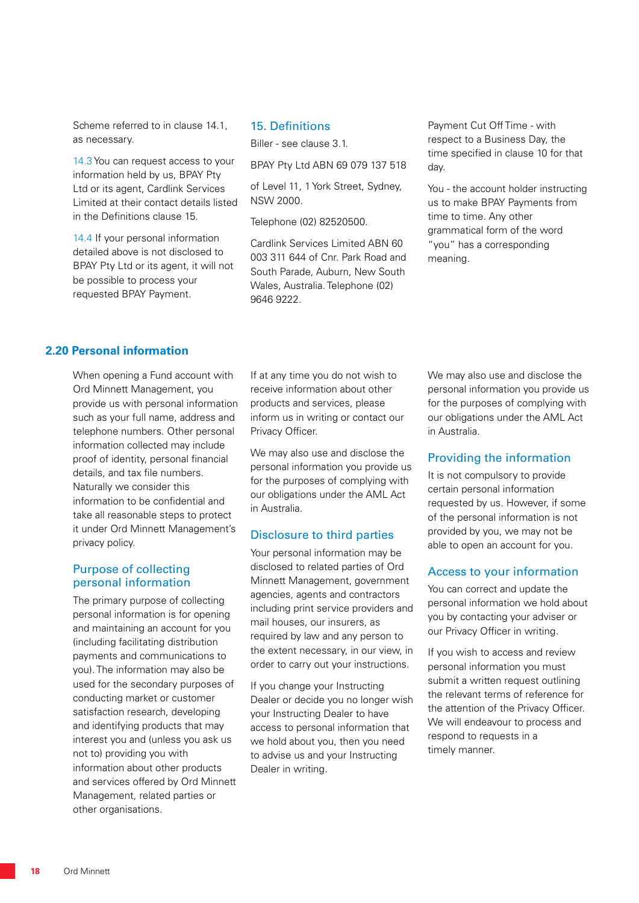Scheme referred to in clause 14.1, as necessary.

14.3 You can request access to your information held by us, BPAY Pty Ltd or its agent, Cardlink Services Limited at their contact details listed in the Definitions clause 15.

14.4 If your personal information detailed above is not disclosed to BPAY Pty Ltd or its agent, it will not be possible to process your requested BPAY Payment.

#### 15. Definitions

Biller - see clause 3.1.

BPAY Pty Ltd ABN 69 079 137 518

of Level 11, 1 York Street, Sydney, NSW 2000.

Telephone (02) 82520500.

Cardlink Services Limited ABN 60 003 311 644 of Cnr. Park Road and South Parade, Auburn, New South Wales, Australia. Telephone (02) 9646 9222.

Payment Cut Off Time - with respect to a Business Day, the time specified in clause 10 for that day.

You - the account holder instructing us to make BPAY Payments from time to time. Any other grammatical form of the word "you" has a corresponding meaning.

#### **2.20 Personal information**

When opening a Fund account with Ord Minnett Management, you provide us with personal information such as your full name, address and telephone numbers. Other personal information collected may include proof of identity, personal financial details, and tax file numbers. Naturally we consider this information to be confidential and take all reasonable steps to protect it under Ord Minnett Management's privacy policy.

#### Purpose of collecting personal information

The primary purpose of collecting personal information is for opening and maintaining an account for you (including facilitating distribution payments and communications to you). The information may also be used for the secondary purposes of conducting market or customer satisfaction research, developing and identifying products that may interest you and (unless you ask us not to) providing you with information about other products and services offered by Ord Minnett Management, related parties or other organisations.

If at any time you do not wish to receive information about other products and services, please inform us in writing or contact our Privacy Officer.

We may also use and disclose the personal information you provide us for the purposes of complying with our obligations under the AML Act in Australia.

# Disclosure to third parties

Your personal information may be disclosed to related parties of Ord Minnett Management, government agencies, agents and contractors including print service providers and mail houses, our insurers, as required by law and any person to the extent necessary, in our view, in order to carry out your instructions.

If you change your Instructing Dealer or decide you no longer wish your Instructing Dealer to have access to personal information that we hold about you, then you need to advise us and your Instructing Dealer in writing.

We may also use and disclose the personal information you provide us for the purposes of complying with our obligations under the AML Act in Australia.

# Providing the information

It is not compulsory to provide certain personal information requested by us. However, if some of the personal information is not provided by you, we may not be able to open an account for you.

#### Access to your information

You can correct and update the personal information we hold about you by contacting your adviser or our Privacy Officer in writing.

If you wish to access and review personal information you must submit a written request outlining the relevant terms of reference for the attention of the Privacy Officer. We will endeavour to process and respond to requests in a timely manner.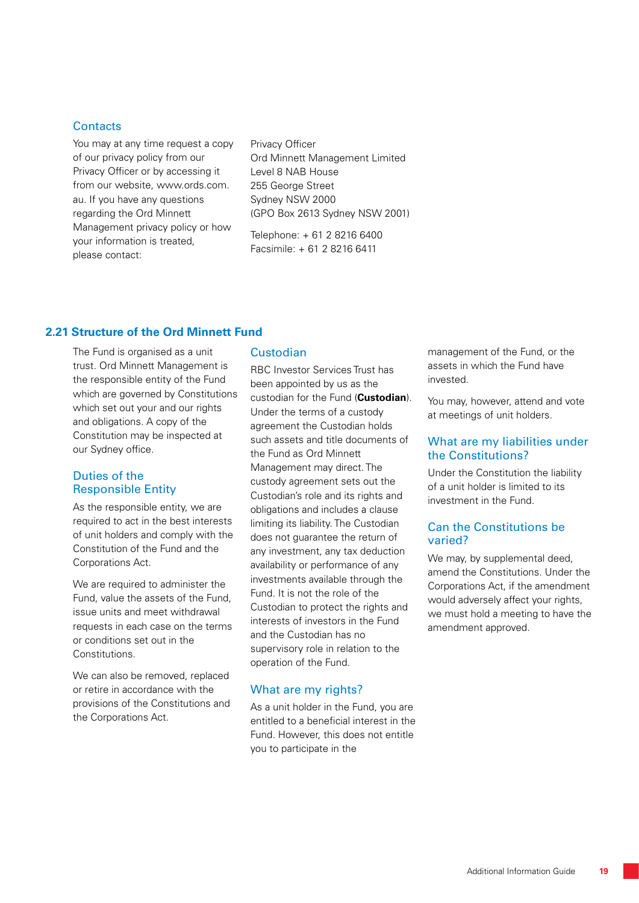### **Contacts**

You may at any time request a copy of our privacy policy from our Privacy Officer or by accessing it from our website, www.ords.com. au. If you have any questions regarding the Ord Minnett Management privacy policy or how your information is treated, please contact:

Privacy Officer Ord Minnett Management Limited Level 8 NAB House 255 George Street Sydney NSW 2000 (GPO Box 2613 Sydney NSW 2001)

Telephone: + 61 2 8216 6400 Facsimile: + 61 2 8216 6411

# **2.21 Structure of the Ord Minnett Fund**

The Fund is organised as a unit trust. Ord Minnett Management is the responsible entity of the Fund which are governed by Constitutions which set out your and our rights and obligations. A copy of the Constitution may be inspected at our Sydney office.

#### Duties of the Responsible Entity

As the responsible entity, we are required to act in the best interests of unit holders and comply with the Constitution of the Fund and the Corporations Act.

We are required to administer the Fund, value the assets of the Fund, issue units and meet withdrawal requests in each case on the terms or conditions set out in the **Constitutions** 

We can also be removed, replaced or retire in accordance with the provisions of the Constitutions and the Corporations Act.

#### Custodian

RBC Investor Services Trust has been appointed by us as the custodian for the Fund (**Custodian**). Under the terms of a custody agreement the Custodian holds such assets and title documents of the Fund as Ord Minnett Management may direct. The custody agreement sets out the Custodian's role and its rights and obligations and includes a clause limiting its liability. The Custodian does not guarantee the return of any investment, any tax deduction availability or performance of any investments available through the Fund. It is not the role of the Custodian to protect the rights and interests of investors in the Fund and the Custodian has no supervisory role in relation to the operation of the Fund.

#### What are my rights?

As a unit holder in the Fund, you are entitled to a beneficial interest in the Fund. However, this does not entitle you to participate in the

management of the Fund, or the assets in which the Fund have invested.

You may, however, attend and vote at meetings of unit holders.

#### What are my liabilities under the Constitutions?

Under the Constitution the liability of a unit holder is limited to its investment in the Fund.

#### Can the Constitutions be varied?

We may, by supplemental deed, amend the Constitutions. Under the Corporations Act, if the amendment would adversely affect your rights, we must hold a meeting to have the amendment approved.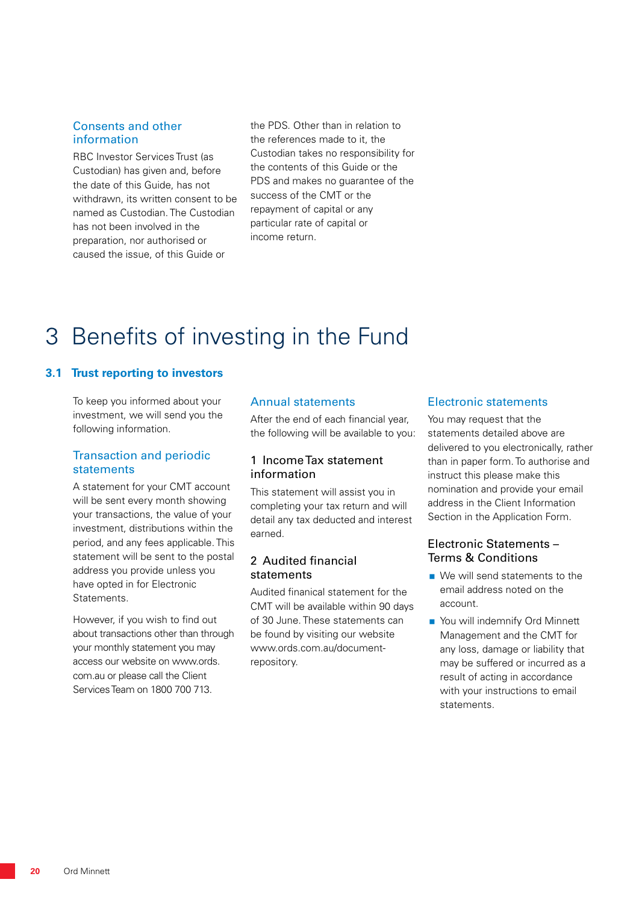#### Consents and other information

RBC Investor Services Trust (as Custodian) has given and, before the date of this Guide, has not withdrawn, its written consent to be named as Custodian. The Custodian has not been involved in the preparation, nor authorised or caused the issue, of this Guide or

the PDS. Other than in relation to the references made to it, the Custodian takes no responsibility for the contents of this Guide or the PDS and makes no quarantee of the success of the CMT or the repayment of capital or any particular rate of capital or income return.

# 3 Benefits of investing in the Fund

#### **3.1 Trust reporting to investors**

To keep you informed about your investment, we will send you the following information.

#### Transaction and periodic statements

A statement for your CMT account will be sent every month showing your transactions, the value of your investment, distributions within the period, and any fees applicable. This statement will be sent to the postal address you provide unless you have opted in for Electronic Statements.

However, if you wish to find out about transactions other than through your monthly statement you may access our website on www.ords. com.au or please call the Client Services Team on 1800 700 713.

#### Annual statements

After the end of each financial year, the following will be available to you:

#### 1 Income Tax statement information

This statement will assist you in completing your tax return and will detail any tax deducted and interest earned.

#### 2 Audited financial statements

Audited finanical statement for the CMT will be available within 90 days of 30 June. These statements can be found by visiting our website www.ords.com.au/documentrepository.

#### Electronic statements

You may request that the statements detailed above are delivered to you electronically, rather than in paper form. To authorise and instruct this please make this nomination and provide your email address in the Client Information Section in the Application Form.

# Electronic Statements – Terms & Conditions

- We will send statements to the email address noted on the account.
- You will indemnify Ord Minnett Management and the CMT for any loss, damage or liability that may be suffered or incurred as a result of acting in accordance with your instructions to email statements.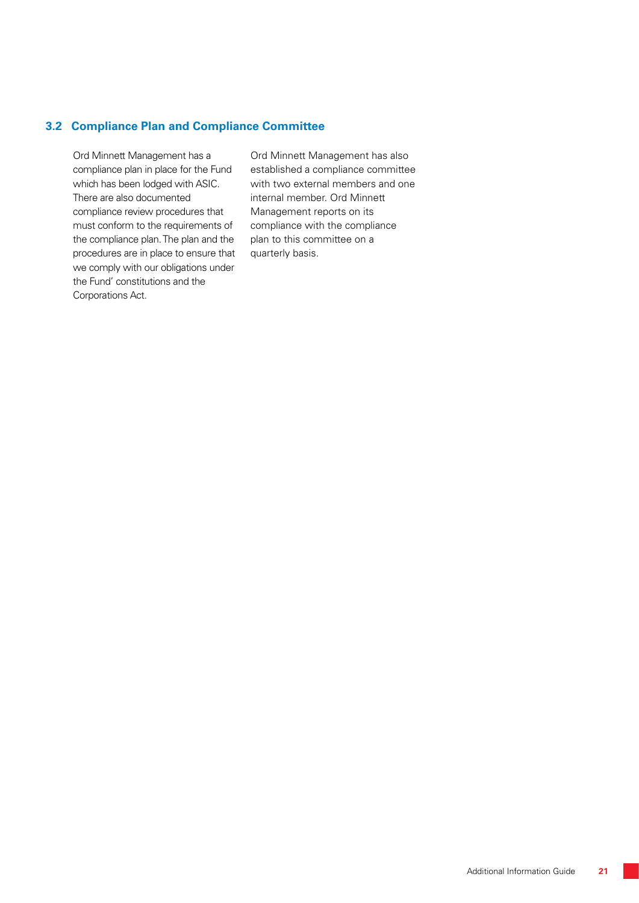# **3.2 Compliance Plan and Compliance Committee**

Ord Minnett Management has a compliance plan in place for the Fund which has been lodged with ASIC. There are also documented compliance review procedures that must conform to the requirements of the compliance plan. The plan and the procedures are in place to ensure that we comply with our obligations under the Fund' constitutions and the Corporations Act.

Ord Minnett Management has also established a compliance committee with two external members and one internal member. Ord Minnett Management reports on its compliance with the compliance plan to this committee on a quarterly basis.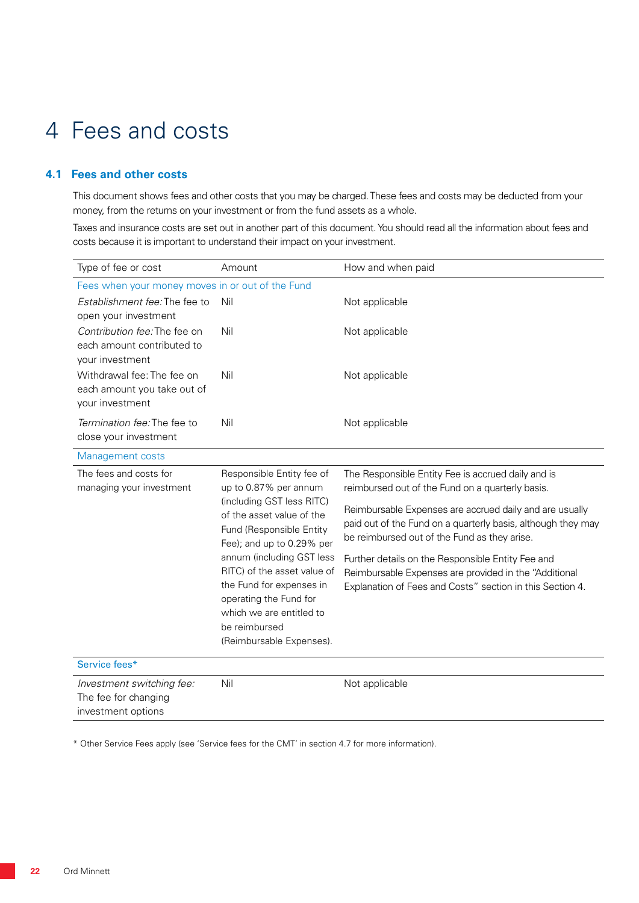# 4 Fees and costs

# **4.1 Fees and other costs**

This document shows fees and other costs that you may be charged. These fees and costs may be deducted from your money, from the returns on your investment or from the fund assets as a whole.

Taxes and insurance costs are set out in another part of this document. You should read all the information about fees and costs because it is important to understand their impact on your investment.

| Type of fee or cost                                        | Amount                                                                                                                                                                | How and when paid                                                                                            |  |  |  |  |
|------------------------------------------------------------|-----------------------------------------------------------------------------------------------------------------------------------------------------------------------|--------------------------------------------------------------------------------------------------------------|--|--|--|--|
| Fees when your money moves in or out of the Fund           |                                                                                                                                                                       |                                                                                                              |  |  |  |  |
| Establishment fee: The fee to                              | Nil                                                                                                                                                                   | Not applicable                                                                                               |  |  |  |  |
| open your investment                                       |                                                                                                                                                                       |                                                                                                              |  |  |  |  |
| Contribution fee: The fee on<br>each amount contributed to | Nil                                                                                                                                                                   | Not applicable                                                                                               |  |  |  |  |
| your investment                                            |                                                                                                                                                                       |                                                                                                              |  |  |  |  |
| Withdrawal fee: The fee on                                 | Nil                                                                                                                                                                   | Not applicable                                                                                               |  |  |  |  |
| each amount you take out of                                |                                                                                                                                                                       |                                                                                                              |  |  |  |  |
| your investment                                            |                                                                                                                                                                       |                                                                                                              |  |  |  |  |
| Termination fee: The fee to                                | Nil                                                                                                                                                                   | Not applicable                                                                                               |  |  |  |  |
| close your investment                                      |                                                                                                                                                                       |                                                                                                              |  |  |  |  |
| Management costs                                           |                                                                                                                                                                       |                                                                                                              |  |  |  |  |
| The fees and costs for<br>managing your investment         | Responsible Entity fee of<br>up to 0.87% per annum<br>(including GST less RITC)<br>of the asset value of the<br>Fund (Responsible Entity<br>Fee); and up to 0.29% per | The Responsible Entity Fee is accrued daily and is                                                           |  |  |  |  |
|                                                            |                                                                                                                                                                       | reimbursed out of the Fund on a quarterly basis.                                                             |  |  |  |  |
|                                                            |                                                                                                                                                                       | Reimbursable Expenses are accrued daily and are usually                                                      |  |  |  |  |
|                                                            |                                                                                                                                                                       | paid out of the Fund on a quarterly basis, although they may<br>be reimbursed out of the Fund as they arise. |  |  |  |  |
|                                                            |                                                                                                                                                                       |                                                                                                              |  |  |  |  |
|                                                            | annum (including GST less<br>RITC) of the asset value of                                                                                                              | Further details on the Responsible Entity Fee and<br>Reimbursable Expenses are provided in the "Additional   |  |  |  |  |
|                                                            | the Fund for expenses in                                                                                                                                              | Explanation of Fees and Costs" section in this Section 4.                                                    |  |  |  |  |
|                                                            | operating the Fund for                                                                                                                                                |                                                                                                              |  |  |  |  |
|                                                            | which we are entitled to                                                                                                                                              |                                                                                                              |  |  |  |  |
|                                                            | be reimbursed<br>(Reimbursable Expenses).                                                                                                                             |                                                                                                              |  |  |  |  |
|                                                            |                                                                                                                                                                       |                                                                                                              |  |  |  |  |
| Service fees*                                              |                                                                                                                                                                       |                                                                                                              |  |  |  |  |
| Investment switching fee:                                  | Nil                                                                                                                                                                   | Not applicable                                                                                               |  |  |  |  |
| The fee for changing                                       |                                                                                                                                                                       |                                                                                                              |  |  |  |  |
| investment options                                         |                                                                                                                                                                       |                                                                                                              |  |  |  |  |

\* Other Service Fees apply (see 'Service fees for the CMT' in section 4.7 for more information).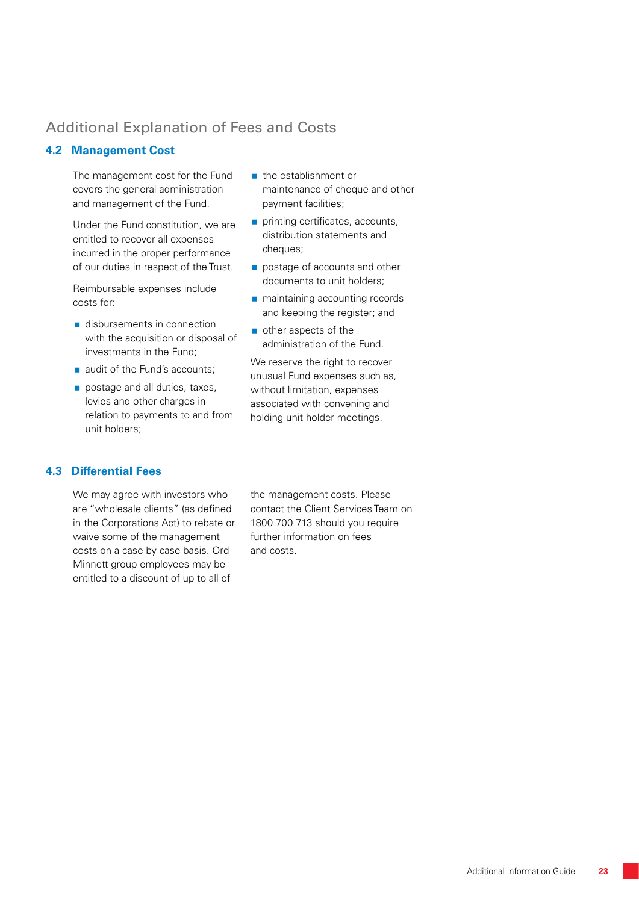# Additional Explanation of Fees and Costs

# **4.2 Management Cost**

The management cost for the Fund covers the general administration and management of the Fund.

Under the Fund constitution, we are entitled to recover all expenses incurred in the proper performance of our duties in respect of the Trust.

Reimbursable expenses include costs for:

- disbursements in connection with the acquisition or disposal of investments in the Fund;
- audit of the Fund's accounts;
- postage and all duties, taxes, levies and other charges in relation to payments to and from unit holders;

# **4.3 Differential Fees**

We may agree with investors who are "wholesale clients" (as defined in the Corporations Act) to rebate or waive some of the management costs on a case by case basis. Ord Minnett group employees may be entitled to a discount of up to all of

the establishment or maintenance of cheque and other payment facilities;

- printing certificates, accounts, distribution statements and cheques;
- postage of accounts and other documents to unit holders;
- **n** maintaining accounting records and keeping the register; and
- other aspects of the administration of the Fund.

We reserve the right to recover unusual Fund expenses such as, without limitation, expenses associated with convening and holding unit holder meetings.

the management costs. Please contact the Client Services Team on 1800 700 713 should you require further information on fees and costs.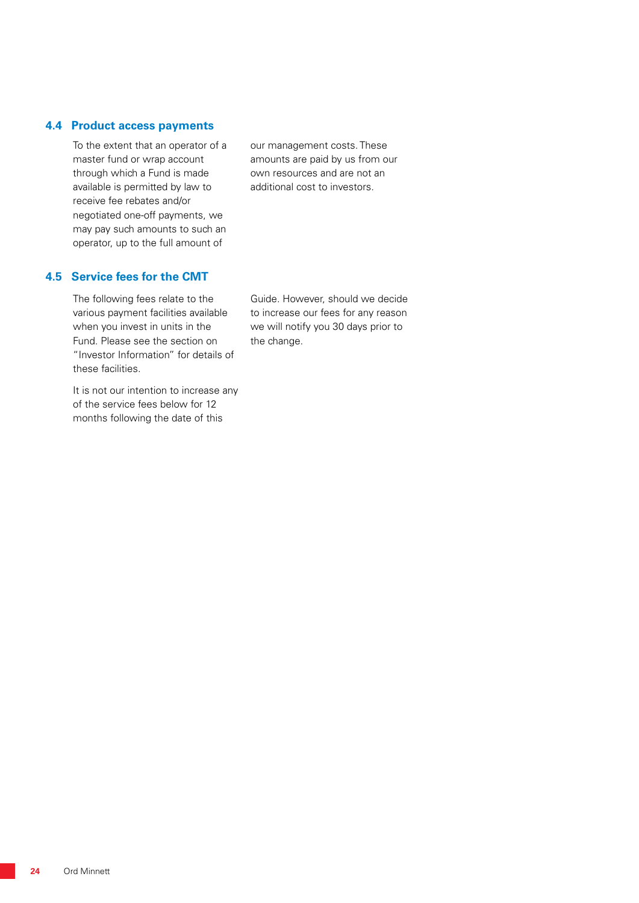#### **4.4 Product access payments**

To the extent that an operator of a master fund or wrap account through which a Fund is made available is permitted by law to receive fee rebates and/or negotiated one-off payments, we may pay such amounts to such an operator, up to the full amount of

# **4.5 Service fees for the CMT**

The following fees relate to the various payment facilities available when you invest in units in the Fund. Please see the section on "Investor Information" for details of these facilities.

It is not our intention to increase any of the service fees below for 12 months following the date of this

our management costs. These amounts are paid by us from our own resources and are not an additional cost to investors.

Guide. However, should we decide to increase our fees for any reason we will notify you 30 days prior to the change.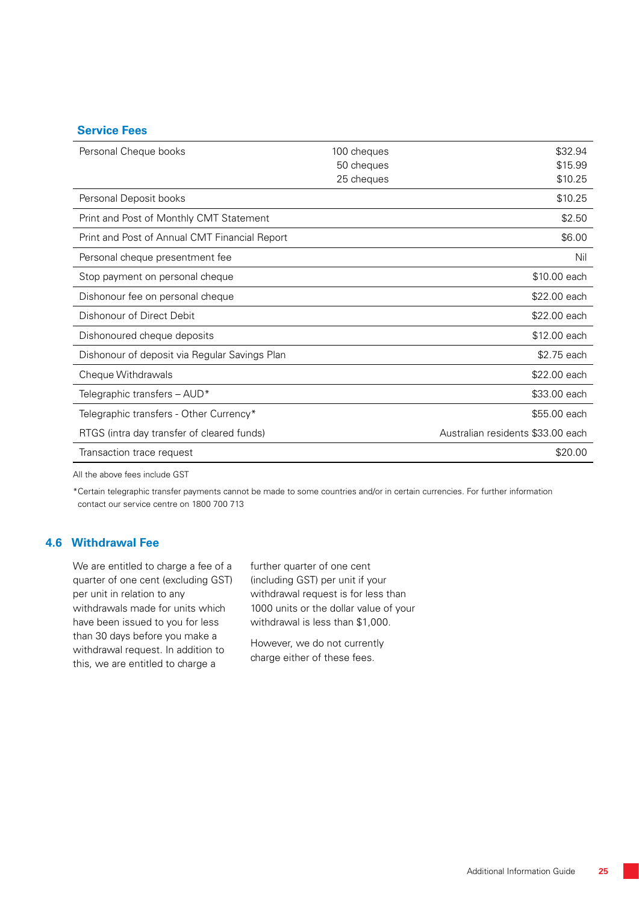### **Service Fees**

| Personal Cheque books                         | 100 cheques | \$32.94                           |
|-----------------------------------------------|-------------|-----------------------------------|
|                                               | 50 cheques  | \$15.99                           |
|                                               | 25 cheques  | \$10.25                           |
| Personal Deposit books                        |             | \$10.25                           |
| Print and Post of Monthly CMT Statement       |             | \$2.50                            |
| Print and Post of Annual CMT Financial Report |             | \$6.00                            |
| Personal cheque presentment fee               |             | Nil                               |
| Stop payment on personal cheque               |             | \$10.00 each                      |
| Dishonour fee on personal cheque              |             | \$22.00 each                      |
| Dishonour of Direct Debit                     |             | \$22.00 each                      |
| Dishonoured cheque deposits                   |             | \$12.00 each                      |
| Dishonour of deposit via Regular Savings Plan |             | \$2.75 each                       |
| Cheque Withdrawals                            |             | \$22.00 each                      |
| Telegraphic transfers - AUD*                  |             | \$33.00 each                      |
| Telegraphic transfers - Other Currency*       |             | \$55.00 each                      |
| RTGS (intra day transfer of cleared funds)    |             | Australian residents \$33.00 each |
| Transaction trace request                     |             | \$20.00                           |

All the above fees include GST

\*Certain telegraphic transfer payments cannot be made to some countries and/or in certain currencies. For further information contact our service centre on 1800 700 713

#### **4.6 Withdrawal Fee**

We are entitled to charge a fee of a quarter of one cent (excluding GST) per unit in relation to any withdrawals made for units which have been issued to you for less than 30 days before you make a withdrawal request. In addition to this, we are entitled to charge a

further quarter of one cent (including GST) per unit if your withdrawal request is for less than 1000 units or the dollar value of your withdrawal is less than \$1,000.

However, we do not currently charge either of these fees.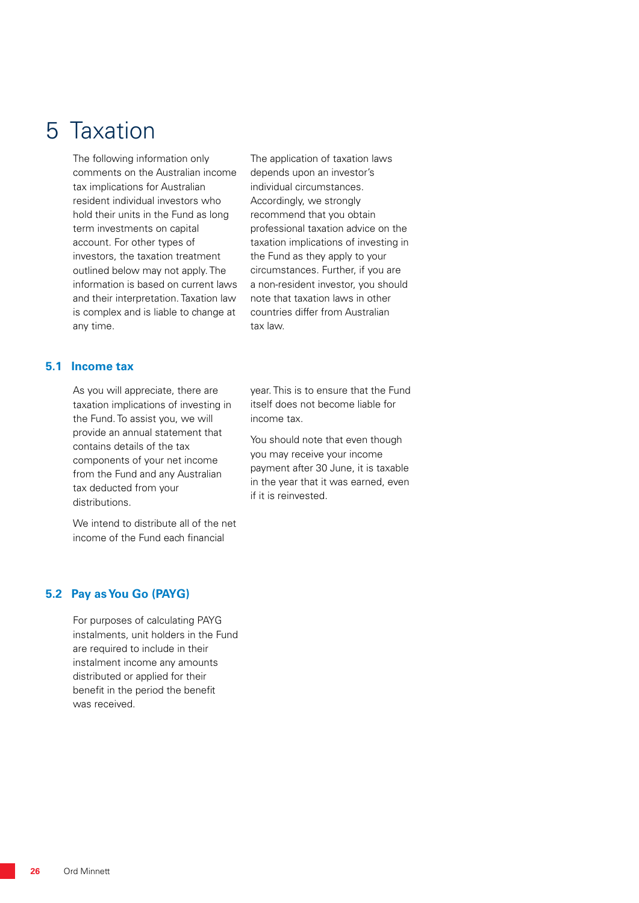# 5 Taxation

The following information only comments on the Australian income tax implications for Australian resident individual investors who hold their units in the Fund as long term investments on capital account. For other types of investors, the taxation treatment outlined below may not apply. The information is based on current laws and their interpretation. Taxation law is complex and is liable to change at any time.

The application of taxation laws depends upon an investor's individual circumstances. Accordingly, we strongly recommend that you obtain professional taxation advice on the taxation implications of investing in the Fund as they apply to your circumstances. Further, if you are a non-resident investor, you should note that taxation laws in other countries differ from Australian tax law.

#### **5.1 Income tax**

As you will appreciate, there are taxation implications of investing in the Fund. To assist you, we will provide an annual statement that contains details of the tax components of your net income from the Fund and any Australian tax deducted from your distributions.

We intend to distribute all of the net income of the Fund each financial

year. This is to ensure that the Fund itself does not become liable for income tax.

You should note that even though you may receive your income payment after 30 June, it is taxable in the year that it was earned, even if it is reinvested.

#### **5.2 Pay as You Go (PAYG)**

For purposes of calculating PAYG instalments, unit holders in the Fund are required to include in their instalment income any amounts distributed or applied for their benefit in the period the benefit was received.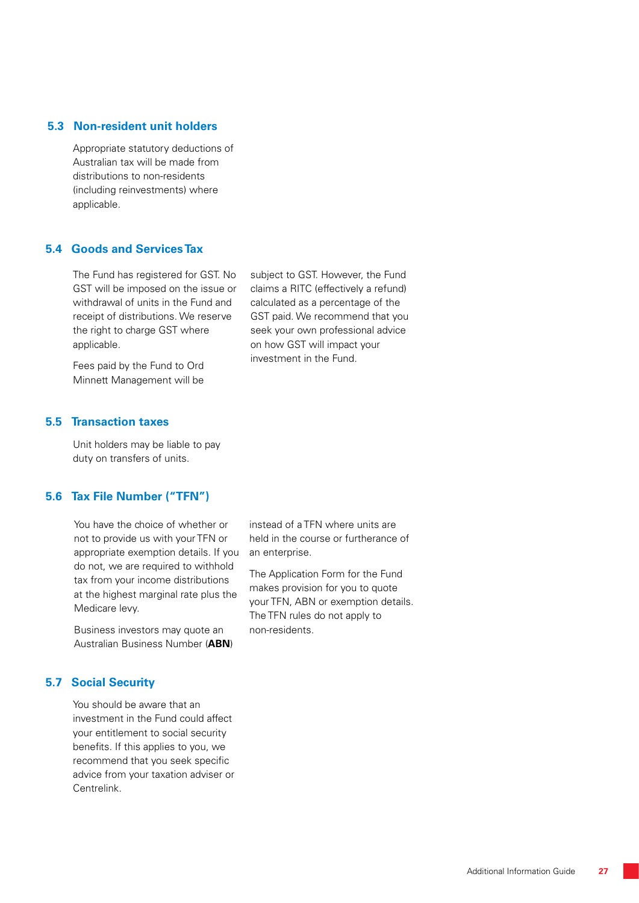#### **5.3 Non-resident unit holders**

Appropriate statutory deductions of Australian tax will be made from distributions to non-residents (including reinvestments) where applicable.

#### **5.4 Goods and Services Tax**

The Fund has registered for GST. No GST will be imposed on the issue or withdrawal of units in the Fund and receipt of distributions. We reserve the right to charge GST where applicable.

Fees paid by the Fund to Ord Minnett Management will be subject to GST. However, the Fund claims a RITC (effectively a refund) calculated as a percentage of the GST paid. We recommend that you seek your own professional advice on how GST will impact your investment in the Fund.

#### **5.5 Transaction taxes**

Unit holders may be liable to pay duty on transfers of units.

# **5.6 Tax File Number ("TFN")**

You have the choice of whether or not to provide us with your TFN or appropriate exemption details. If you do not, we are required to withhold tax from your income distributions at the highest marginal rate plus the Medicare levy.

Business investors may quote an Australian Business Number (**ABN**)

# **5.7 Social Security**

You should be aware that an investment in the Fund could affect your entitlement to social security benefits. If this applies to you, we recommend that you seek specific advice from your taxation adviser or Centrelink.

instead of a TFN where units are held in the course or furtherance of an enterprise.

The Application Form for the Fund makes provision for you to quote your TFN, ABN or exemption details. The TFN rules do not apply to non-residents.